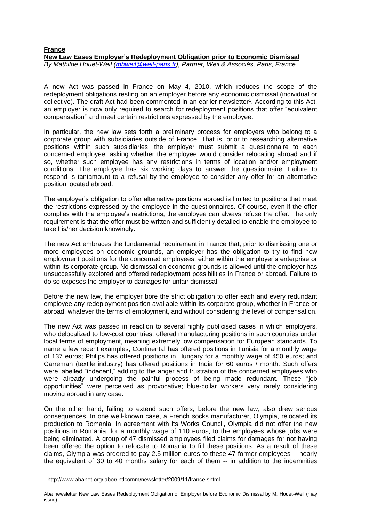## **France New Law Eases Employer's Redeployment Obligation prior to Economic Dismissal** *By Mathilde Houet-Weil [\(mhweil@weil-paris.fr\)](mailto:mhweil@weil-paris.fr), Partner, Weil & Associés, Paris, France*

A new Act was passed in France on May 4, 2010, which reduces the scope of the redeployment obligations resting on an employer before any economic dismissal (individual or collective). The draft Act had been commented in an earlier newsletter<sup>1</sup>. According to this Act, an employer is now only required to search for redeployment positions that offer "equivalent compensation" and meet certain restrictions expressed by the employee.

In particular, the new law sets forth a preliminary process for employers who belong to a corporate group with subsidiaries outside of France. That is, prior to researching alternative positions within such subsidiaries, the employer must submit a questionnaire to each concerned employee, asking whether the employee would consider relocating abroad and if so, whether such employee has any restrictions in terms of location and/or employment conditions. The employee has six working days to answer the questionnaire. Failure to respond is tantamount to a refusal by the employee to consider any offer for an alternative position located abroad.

The employer's obligation to offer alternative positions abroad is limited to positions that meet the restrictions expressed by the employee in the questionnaires. Of course, even if the offer complies with the employee's restrictions, the employee can always refuse the offer. The only requirement is that the offer must be written and sufficiently detailed to enable the employee to take his/her decision knowingly.

The new Act embraces the fundamental requirement in France that, prior to dismissing one or more employees on economic grounds, an employer has the obligation to try to find new employment positions for the concerned employees, either within the employer's enterprise or within its corporate group. No dismissal on economic grounds is allowed until the employer has unsuccessfully explored and offered redeployment possibilities in France or abroad. Failure to do so exposes the employer to damages for unfair dismissal.

Before the new law, the employer bore the strict obligation to offer each and every redundant employee any redeployment position available within its corporate group, whether in France or abroad, whatever the terms of employment, and without considering the level of compensation.

The new Act was passed in reaction to several highly publicised cases in which employers, who delocalized to low-cost countries, offered manufacturing positions in such countries under local terms of employment, meaning extremely low compensation for European standards. To name a few recent examples, Continental has offered positions in Tunisia for a monthly wage of 137 euros; Philips has offered positions in Hungary for a monthly wage of 450 euros; and Carreman (textile industry) has offered positions in India for 60 euros / month. Such offers were labelled "indecent," adding to the anger and frustration of the concerned employees who were already undergoing the painful process of being made redundant. These "job opportunities" were perceived as provocative; blue-collar workers very rarely considering moving abroad in any case.

On the other hand, failing to extend such offers, before the new law, also drew serious consequences. In one well-known case, a French socks manufacturer, Olympia, relocated its production to Romania. In agreement with its Works Council, Olympia did not offer the new positions in Romania, for a monthly wage of 110 euros, to the employees whose jobs were being eliminated. A group of 47 dismissed employees filed claims for damages for not having been offered the option to relocate to Romania to fill these positions. As a result of these claims, Olympia was ordered to pay 2.5 million euros to these 47 former employees -- nearly the equivalent of 30 to 40 months salary for each of them -- in addition to the indemnities

-

<sup>1</sup> http://www.abanet.org/labor/intlcomm/newsletter/2009/11/france.shtml

Aba newsletter New Law Eases Redeployment Obligation of Employer before Economic Dismissal by M. Houet-Weil (may issue)